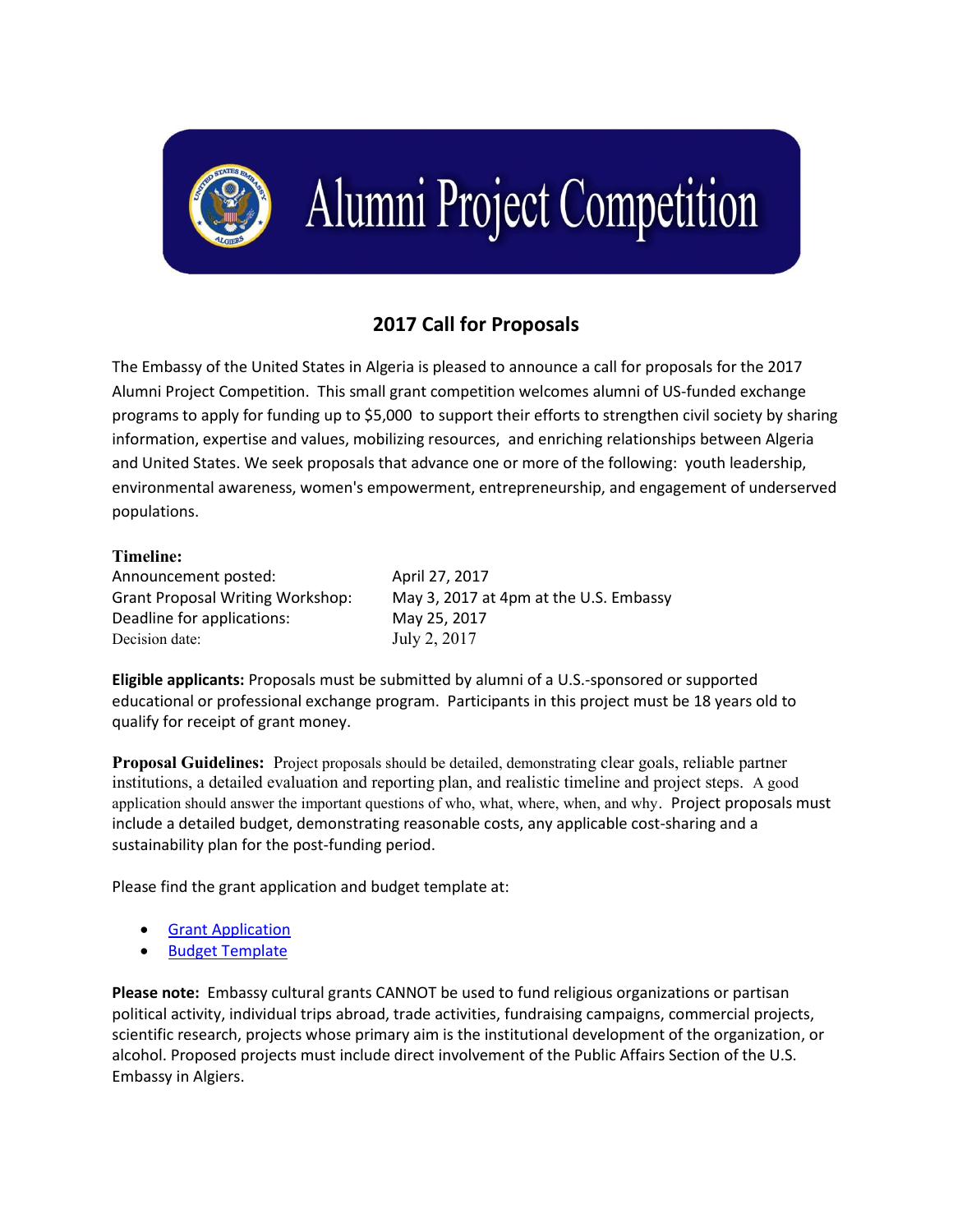

## **Alumni Project Competition**

## **2017 Call for Proposals**

The Embassy of the United States in Algeria is pleased to announce a call for proposals for the 2017 Alumni Project Competition. This small grant competition welcomes alumni of US-funded exchange programs to apply for funding up to \$5,000 to support their efforts to strengthen civil society by sharing information, expertise and values, mobilizing resources, and enriching relationships between Algeria and United States. We seek proposals that advance one or more of the following: youth leadership, environmental awareness, women's empowerment, entrepreneurship, and engagement of underserved populations.

## Timeline:

Announcement posted: April 27, 2017 Deadline for applications: May 25, 2017 Decision date: July 2, 2017

Grant Proposal Writing Workshop: May 3, 2017 at 4pm at the U.S. Embassy

**Eligible applicants:** Proposals must be submitted by alumni of a U.S.-sponsored or supported educational or professional exchange program. Participants in this project must be 18 years old to qualify for receipt of grant money.

Proposal Guidelines: Project proposals should be detailed, demonstrating clear goals, reliable partner institutions, a detailed evaluation and reporting plan, and realistic timeline and project steps. A good application should answer the important questions of who, what, where, when, and why. Project proposals must include a detailed budget, demonstrating reasonable costs, any applicable cost-sharing and a sustainability plan for the post-funding period.

Please find the grant application and budget template at:

- [Grant Application](https://dz.usembassy.gov/wp-content/uploads/sites/236/2017/04/2017_Alumni_Project_Competition_Application_Form.pdf)
- [Budget Template](•%09https:/dz.usembassy.gov/wp-content/uploads/sites/236/2017/04/Budget-Form.xlsx)

**Please note:** Embassy cultural grants CANNOT be used to fund religious organizations or partisan political activity, individual trips abroad, trade activities, fundraising campaigns, commercial projects, scientific research, projects whose primary aim is the institutional development of the organization, or alcohol. Proposed projects must include direct involvement of the Public Affairs Section of the U.S. Embassy in Algiers.